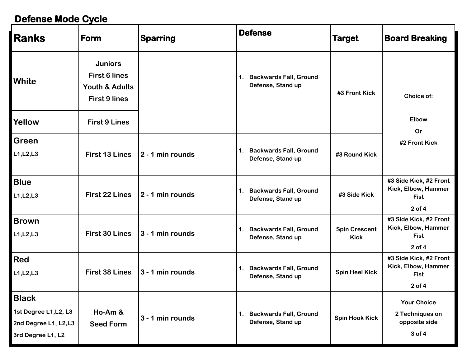### **Defense Mode Cycle**

| <b>Ranks</b>                                                                       | <b>Form</b>                                                                                 | <b>Sparring</b>  | <b>Defense</b>                                                       | <b>Target</b>                       | <b>Board Breaking</b>                                                      |
|------------------------------------------------------------------------------------|---------------------------------------------------------------------------------------------|------------------|----------------------------------------------------------------------|-------------------------------------|----------------------------------------------------------------------------|
| White                                                                              | <b>Juniors</b><br><b>First 6 lines</b><br><b>Youth &amp; Adults</b><br><b>First 9 lines</b> |                  | <b>Backwards Fall, Ground</b><br>$\mathbf 1$ .<br>Defense, Stand up  | #3 Front Kick                       | Choice of:                                                                 |
| Yellow                                                                             | <b>First 9 Lines</b>                                                                        |                  |                                                                      |                                     | <b>Elbow</b><br>Or                                                         |
| <b>Green</b><br>L1, L2, L3                                                         | <b>First 13 Lines</b>                                                                       | 2 - 1 min rounds | <b>Backwards Fall, Ground</b><br>$\mathbf{1}$ .<br>Defense, Stand up | #3 Round Kick                       | #2 Front Kick                                                              |
| <b>Blue</b><br>L1, L2, L3                                                          | <b>First 22 Lines</b>                                                                       | 2 - 1 min rounds | <b>Backwards Fall, Ground</b><br>1.<br>Defense, Stand up             | #3 Side Kick                        | #3 Side Kick, #2 Front<br>Kick, Elbow, Hammer<br><b>Fist</b><br>$2$ of 4   |
| <b>Brown</b><br>L1, L2, L3                                                         | <b>First 30 Lines</b>                                                                       | 3 - 1 min rounds | <b>Backwards Fall, Ground</b><br>1.<br>Defense, Stand up             | <b>Spin Crescent</b><br><b>Kick</b> | #3 Side Kick, #2 Front<br>Kick, Elbow, Hammer<br><b>Fist</b><br>$2$ of $4$ |
| <b>Red</b><br>L1, L2, L3                                                           | <b>First 38 Lines</b>                                                                       | 3 - 1 min rounds | <b>Backwards Fall, Ground</b><br>$\mathbf 1$ .<br>Defense, Stand up  | <b>Spin Heel Kick</b>               | #3 Side Kick, #2 Front<br>Kick, Elbow, Hammer<br><b>Fist</b><br>$2$ of $4$ |
| <b>Black</b><br>1st Degree L1, L2, L3<br>2nd Degree L1, L2,L3<br>3rd Degree L1, L2 | Ho-Am &<br><b>Seed Form</b>                                                                 | 3 - 1 min rounds | <b>Backwards Fall, Ground</b><br>$\mathbf 1$ .<br>Defense, Stand up  | <b>Spin Hook Kick</b>               | <b>Your Choice</b><br>2 Techniques on<br>opposite side<br>3 of 4           |